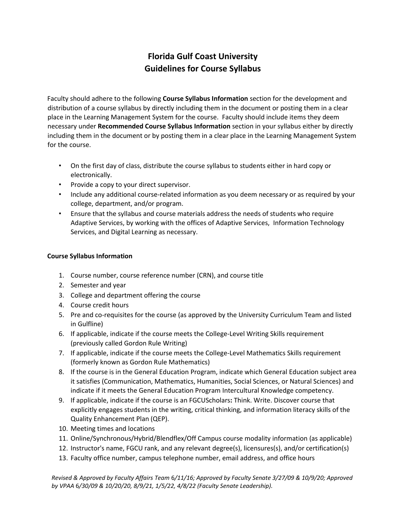# **Florida Gulf Coast University Guidelines for Course Syllabus**

Faculty should adhere to the following **Course Syllabus Information** section for the development and distribution of a course syllabus by directly including them in the document or posting them in a clear place in the Learning Management System for the course. Faculty should include items they deem necessary under **Recommended Course Syllabus Information** section in your syllabus either by directly including them in the document or by posting them in a clear place in the Learning Management System for the course.

- On the first day of class, distribute the course syllabus to students either in hard copy or electronically.
- Provide a copy to your direct supervisor.
- Include any additional course-related information as you deem necessary or as required by your college, department, and/or program.
- Ensure that the syllabus and course materials address the needs of students who require Adaptive Services, by working with the offices of Adaptive Services, Information Technology Services, and Digital Learning as necessary.

## **Course Syllabus Information**

- 1. Course number, course reference number (CRN), and course title
- 2. Semester and year
- 3. College and department offering the course
- 4. Course credit hours
- 5. Pre and co-requisites for the course (as approved by the University Curriculum Team and listed in Gulfline)
- 6. If applicable, indicate if the course meets the College-Level Writing Skills requirement (previously called Gordon Rule Writing)
- 7. If applicable, indicate if the course meets the College-Level Mathematics Skills requirement (formerly known as Gordon Rule Mathematics)
- 8. If the course is in the General Education Program, indicate which General Education subject area it satisfies (Communication, Mathematics, Humanities, Social Sciences, or Natural Sciences) and indicate if it meets the General Education Program Intercultural Knowledge competency.
- 9. If applicable, indicate if the course is an FGCUScholars**:** Think. Write. Discover course that explicitly engages students in the writing, critical thinking, and information literacy skills of the Quality Enhancement Plan (QEP).
- 10. Meeting times and locations
- 11. Online/Synchronous/Hybrid/Blendflex/Off Campus course modality information (as applicable)
- 12. Instructor's name, FGCU rank, and any relevant degree(s), licensures(s), and/or certification(s)
- 13. Faculty office number, campus telephone number, email address, and office hours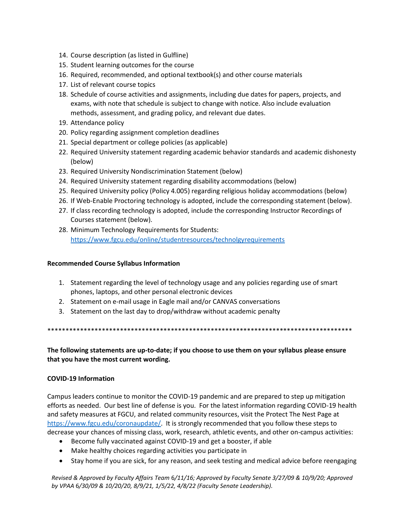- 14. Course description (as listed in Gulfline)
- 15. Student learning outcomes for the course
- 16. Required, recommended, and optional textbook(s) and other course materials
- 17. List of relevant course topics
- 18. Schedule of course activities and assignments, including due dates for papers, projects, and exams, with note that schedule is subject to change with notice. Also include evaluation methods, assessment, and grading policy, and relevant due dates.
- 19. Attendance policy
- 20. Policy regarding assignment completion deadlines
- 21. Special department or college policies (as applicable)
- 22. Required University statement regarding academic behavior standards and academic dishonesty (below)
- 23. Required University Nondiscrimination Statement (below)
- 24. Required University statement regarding disability accommodations (below)
- 25. Required University policy (Policy 4.005) regarding religious holiday accommodations (below)
- 26. If Web-Enable Proctoring technology is adopted, include the corresponding statement (below).
- 27. If class recording technology is adopted, include the corresponding Instructor Recordings of Courses statement (below).
- 28. Minimum Technology Requirements for Students: https://www.fgcu.edu/online/studentresources/technolgyrequirements

## **Recommended Course Syllabus Information**

- 1. Statement regarding the level of technology usage and any policies regarding use of smart phones, laptops, and other personal electronic devices
- 2. Statement on e-mail usage in Eagle mail and/or CANVAS conversations
- 3. Statement on the last day to drop/withdraw without academic penalty

# The following statements are up-to-date; if you choose to use them on your syllabus please ensure that you have the most current wording.

## **COVID-19 Information**

Campus leaders continue to monitor the COVID-19 pandemic and are prepared to step up mitigation efforts as needed. Our best line of defense is you. For the latest information regarding COVID-19 health and safety measures at FGCU, and related community resources, visit the Protect The Nest Page at https://www.fgcu.edu/coronaupdate/. It is strongly recommended that you follow these steps to decrease your chances of missing class, work, research, athletic events, and other on-campus activities:

- Become fully vaccinated against COVID-19 and get a booster, if able
- Make healthy choices regarding activities you participate in
- Stay home if you are sick, for any reason, and seek testing and medical advice before reengaging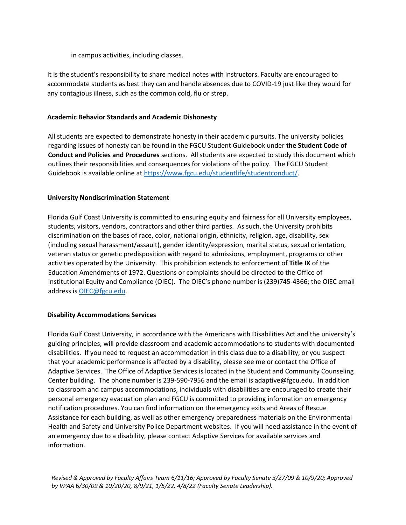in campus activities, including classes.

It is the student's responsibility to share medical notes with instructors. Faculty are encouraged to accommodate students as best they can and handle absences due to COVID-19 just like they would for any contagious illness, such as the common cold, flu or strep.

## **Academic Behavior Standards and Academic Dishonesty**

All students are expected to demonstrate honesty in their academic pursuits. The university policies regarding issues of honesty can be found in the FGCU Student Guidebook under **the Student Code of Conduct and Policies and Procedures** sections. All students are expected to study this document which outlines their responsibilities and consequences for violations of the policy. The FGCU Student Guidebook is available online at [https://www.fgcu.edu/studentlife/studentconduct/.](https://www.fgcu.edu/studentlife/studentconduct/)

## **University Nondiscrimination Statement**

Florida Gulf Coast University is committed to ensuring equity and fairness for all University employees, students, visitors, vendors, contractors and other third parties. As such, the University prohibits discrimination on the bases of race, color, national origin, ethnicity, religion, age, disability, sex (including sexual harassment/assault), gender identity/expression, marital status, sexual orientation, veteran status or genetic predisposition with regard to admissions, employment, programs or other activities operated by the University. This prohibition extends to enforcement of **Title IX** of the Education Amendments of 1972. Questions or complaints should be directed to the Office of Institutional Equity and Compliance (OIEC). The OIEC's phone number is (239)745-4366; the OIEC email address is [OIEC@fgcu.edu.](mailto:OIEC@fgcu.edu)

# **Disability Accommodations Services**

Florida Gulf Coast University, in accordance with the Americans with Disabilities Act and the university's guiding principles, will provide classroom and academic accommodations to students with documented disabilities. If you need to request an accommodation in this class due to a disability, or you suspect that your academic performance is affected by a disability, please see me or contact the Office of Adaptive Services. The Office of Adaptive Services is located in the Student and Community Counseling Center building. The phone number is 239-590-7956 and the email is adaptive@fgcu.edu. In addition to classroom and campus accommodations, individuals with disabilities are encouraged to create their personal emergency evacuation plan and FGCU is committed to providing information on emergency notification procedures. You can find information on the emergency exits and Areas of Rescue Assistance for each building, as well as other emergency preparedness materials on the Environmental Health and Safety and University Police Department websites. If you will need assistance in the event of an emergency due to a disability, please contact Adaptive Services for available services and information.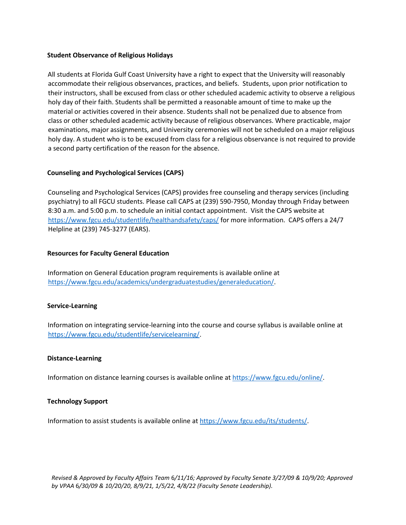#### **Student Observance of Religious Holidays**

All students at Florida Gulf Coast University have a right to expect that the University will reasonably accommodate their religious observances, practices, and beliefs. Students, upon prior notification to their instructors, shall be excused from class or other scheduled academic activity to observe a religious holy day of their faith. Students shall be permitted a reasonable amount of time to make up the material or activities covered in their absence. Students shall not be penalized due to absence from class or other scheduled academic activity because of religious observances. Where practicable, major examinations, major assignments, and University ceremonies will not be scheduled on a major religious holy day. A student who is to be excused from class for a religious observance is not required to provide a second party certification of the reason for the absence.

## **Counseling and Psychological Services (CAPS)**

Counseling and Psychological Services (CAPS) provides free counseling and therapy services (including psychiatry) to all FGCU students. Please call CAPS at (239) 590-7950, Monday through Friday between 8:30 a.m. and 5:00 p.m. to schedule an initial contact appointment. Visit the CAPS website at <https://www.fgcu.edu/studentlife/healthandsafety/caps/> for more information. CAPS offers a 24/7 Helpline at (239) 745-3277 (EARS).

## **Resources for Faculty General Education**

Information on General Education program requirements is available online at [https://www.fgcu.edu/academics/undergraduatestudies/generaleducation/.](https://www.fgcu.edu/academics/undergraduatestudies/generaleducation/)

## **Service-Learning**

Information on integrating service-learning into the course and course syllabus is available online at [https://www.fgcu.edu/studentlife/servicelearning/.](https://www.fgcu.edu/studentlife/servicelearning/)

## **Distance-Learning**

Information on distance learning courses is available online at [https://www.fgcu.edu/online/.](https://www.fgcu.edu/online/) 

## **Technology Support**

Information to assist students is available online at [https://www.fgcu.edu/its/students/.](https://www.fgcu.edu/its/students/)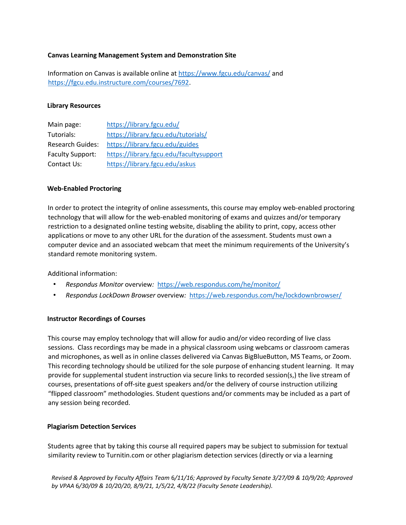## **Canvas Learning Management System and Demonstration Site**

Information on Canvas is available online at <https://www.fgcu.edu/canvas/> and [https://fgcu.edu.instructure.com/courses/7692.](https://fgcu.edu.instructure.com/courses/7692)

#### **Library Resources**

| Main page:              | https://library.fgcu.edu/               |
|-------------------------|-----------------------------------------|
| Tutorials:              | https://library.fgcu.edu/tutorials/     |
| <b>Research Guides:</b> | https://library.fgcu.edu/guides         |
| <b>Faculty Support:</b> | https://library.fgcu.edu/facultysupport |
| Contact Us:             | https://library.fgcu.edu/askus          |

#### **Web-Enabled Proctoring**

In order to protect the integrity of online assessments, this course may employ web-enabled proctoring technology that will allow for the web-enabled monitoring of exams and quizzes and/or temporary restriction to a designated online testing website, disabling the ability to print, copy, access other applications or move to any other URL for the duration of the assessment. Students must own a computer device and an associated webcam that meet the minimum requirements of the University's standard remote monitoring system.

Additional information:

- *Respondus Monitor* overview*[:](http://respondus.com/products/monitor/)* <https://web.respondus.com/he/monitor/>
- *Respondus LockDown Browser* overview*[:](http://respondus.com/products/lockdown-browser/)* <https://web.respondus.com/he/lockdownbrowser/>

## **Instructor Recordings of Courses**

This course may employ technology that will allow for audio and/or video recording of live class sessions. Class recordings may be made in a physical classroom using webcams or classroom cameras and microphones, as well as in online classes delivered via Canvas BigBlueButton, MS Teams, or Zoom. This recording technology should be utilized for the sole purpose of enhancing student learning. It may provide for supplemental student instruction via secure links to recorded session(s,) the live stream of courses, presentations of off-site guest speakers and/or the delivery of course instruction utilizing "flipped classroom" methodologies. Student questions and/or comments may be included as a part of any session being recorded.

## **Plagiarism Detection Services**

Students agree that by taking this course all required papers may be subject to submission for textual similarity review to Turnitin.com or other plagiarism detection services (directly or via a learning